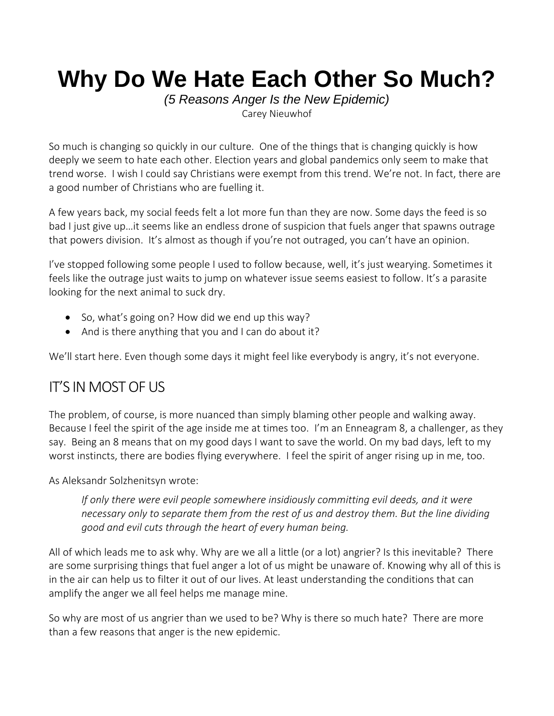# **Why Do We Hate Each Other So Much?**

*(5 Reasons Anger Is the New Epidemic)* [Carey Nieuwhof](https://careynieuwhof.com/author/carey/)

So much is changing so quickly in our culture. One of the things that is changing quickly is how deeply we seem to hate each other. Election years and global pandemics only seem to make that trend worse. I wish I could say Christians were exempt from this trend. We're not. In fact, there are a good number of Christians who are fuelling it.

A few years back, my social feeds felt a lot more fun than they are now. Some days the feed is so bad I just give up…it seems like an endless drone of suspicion that fuels anger that spawns outrage that powers division. It's almost as though if you're not outraged, you can't have an opinion.

I've stopped following some people I used to follow because, well, it's just wearying. Sometimes it feels like the outrage just waits to jump on whatever issue seems easiest to follow. It's a parasite looking for the next animal to suck dry.

- So, what's going on? How did we end up this way?
- And is there anything that you and I can do about it?

We'll start here. Even though some days it might feel like everybody is angry, it's not everyone.

# IT'S IN MOST OF US

The problem, of course, is more nuanced than simply blaming other people and walking away. Because I feel the spirit of the age inside me at times too. I'm an Enneagram 8, a challenger, as they say. Being an 8 means that on my good days I want to save the world. On my bad days, left to my worst instincts, there are bodies flying everywhere. I feel the spirit of anger rising up in me, too.

As Aleksandr Solzhenitsyn wrote:

*If only there were evil people somewhere insidiously committing evil deeds, and it were necessary only to separate them from the rest of us and destroy them. But the line dividing good and evil cuts through the heart of every human being.*

All of which leads me to ask why. Why are we all a little (or a lot) angrier? Is this inevitable? There are some surprising things that fuel anger a lot of us might be unaware of. Knowing why all of this is in the air can help us to filter it out of our lives. At least understanding the conditions that can amplify the anger we all feel helps me manage mine.

So why are most of us angrier than we used to be? Why is there so much hate? There are more than a few reasons that anger is the new epidemic.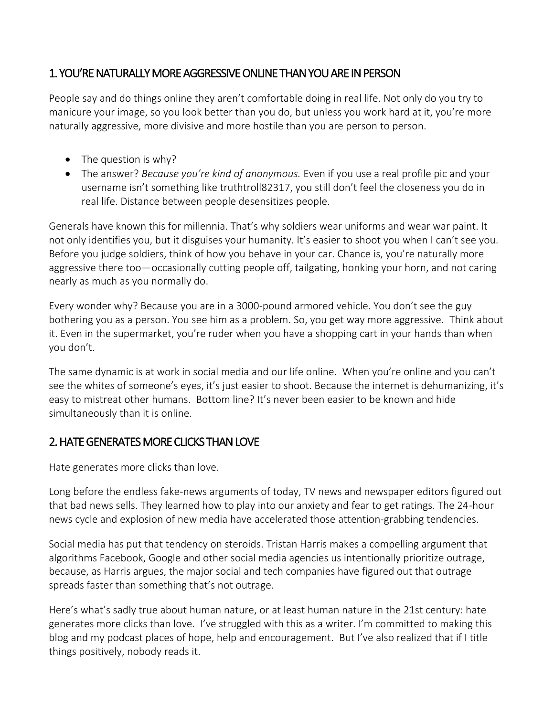#### 1. YOU'RE NATURALLY MORE AGGRESSIVE ONLINE THAN YOU ARE IN PERSON

People say and do things online they aren't comfortable doing in real life. Not only do you try to manicure your image, so you look better than you do, but unless you work hard at it, you're more naturally aggressive, more divisive and more hostile than you are person to person.

- The question is why?
- The answer? *Because you're kind of anonymous.* Even if you use a real profile pic and your username isn't something like truthtroll82317, you still don't feel the closeness you do in real life. Distance between people desensitizes people.

Generals have known this for millennia. That's why soldiers wear uniforms and wear war paint. It not only identifies you, but it disguises your humanity. It's easier to shoot you when I can't see you. Before you judge soldiers, think of how you behave in your car. Chance is, you're naturally more aggressive there too—occasionally cutting people off, tailgating, honking your horn, and not caring nearly as much as you normally do.

Every wonder why? Because you are in a 3000-pound armored vehicle. You don't see the guy bothering you as a person. You see him as a problem. So, you get way more aggressive. Think about it. Even in the supermarket, you're ruder when you have a shopping cart in your hands than when you don't.

The same dynamic is at work in social media and our life online. When you're online and you can't see the whites of someone's eyes, it's just easier to shoot. Because the internet is dehumanizing, it's easy to mistreat other humans. Bottom line? It's never been easier to be known and hide simultaneously than it is online.

#### 2. HATE GENERATES MORE CLICKS THAN LOVE

Hate generates more clicks than love.

Long before the endless fake-news arguments of today, TV news and newspaper editors figured out that bad news sells. They learned how to play into our anxiety and fear to get ratings. The 24-hour news cycle and explosion of new media have accelerated those attention-grabbing tendencies.

Social media has put that tendency on steroids. Tristan Harris [makes a compelling argument](https://www.vox.com/technology/2018/2/19/17020310/tristan-harris-facebook-twitter-humane-tech-time) that algorithms Facebook, Google and other social media agencies us intentionally prioritize outrage, because, as Harris argues, the major social and tech companies have figured out that outrage spreads faster than something that's not outrage.

Here's what's sadly true about human nature, or at least human nature in the 21st century: hate generates more clicks than love. I've struggled with this as a writer. I'm committed to making this blog and my podcast places of hope, help and encouragement. But I've also realized that if I title things positively, nobody reads it.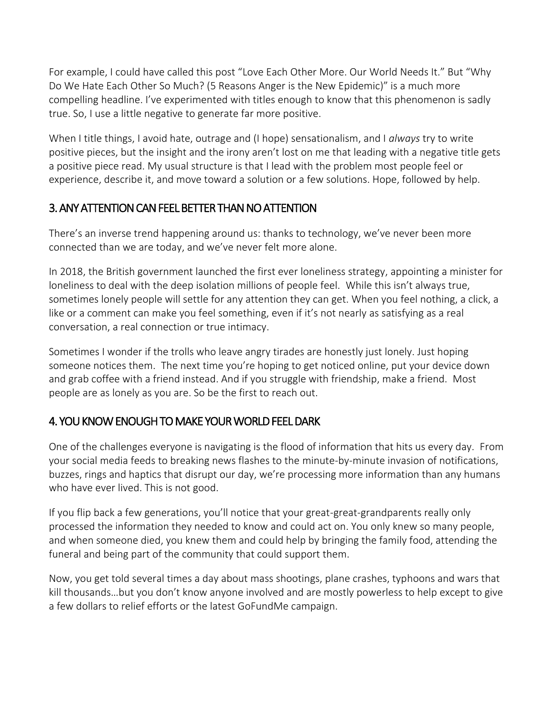For example, I could have called this post "Love Each Other More. Our World Needs It." But "Why Do We Hate Each Other So Much? (5 Reasons Anger is the New Epidemic)" is a much more compelling headline. I've experimented with titles enough to know that this phenomenon is sadly true. So, I use a little negative to generate far more positive.

When I title things, I avoid hate, outrage and (I hope) sensationalism, and I *always* try to write positive pieces, but the insight and the irony aren't lost on me that leading with a negative title gets a positive piece read. My usual structure is that I lead with the problem most people feel or experience, describe it, and move toward a solution or a few solutions. Hope, followed by help.

## 3. ANY ATTENTION CAN FEEL BETTER THAN NO ATTENTION

There's an inverse trend happening around us: thanks to technology, we've never been more connected than we are today, and we've never felt more alone.

In 2018, [the British government launched the first ever loneliness strategy,](https://www.gov.uk/government/news/pm-launches-governments-first-loneliness-strategy) appointing a minister for loneliness to deal with the deep isolation millions of people feel. While this isn't always true, sometimes lonely people will settle for any attention they can get. When you feel nothing, a click, a like or a comment can make you feel something, even if it's not nearly as satisfying as a real conversation, a real connection or true intimacy.

Sometimes I wonder if the trolls who leave angry tirades are honestly just lonely. Just hoping someone notices them. The next time you're hoping to get noticed online, put your device down and grab coffee with a friend instead. And if you struggle with friendship, make a friend. Most people are as lonely as you are. So be the first to reach out.

## 4. YOU KNOW ENOUGH TO MAKE YOUR WORLD FEEL DARK

One of the challenges everyone is navigating is the flood of information that hits us every day. From your social media feeds to breaking news flashes to the minute-by-minute invasion of notifications, buzzes, rings and haptics that disrupt our day, we're processing more information than any humans who have ever lived. This is not good.

If you flip back a few generations, you'll notice that your great-great-grandparents really only processed the information they needed to know and could act on. You only knew so many people, and when someone died, you knew them and could help by bringing the family food, attending the funeral and being part of the community that could support them.

Now, you get told several times a day about mass shootings, plane crashes, typhoons and wars that kill thousands…but you don't know anyone involved and are mostly powerless to help except to give a few dollars to relief efforts or the latest GoFundMe campaign.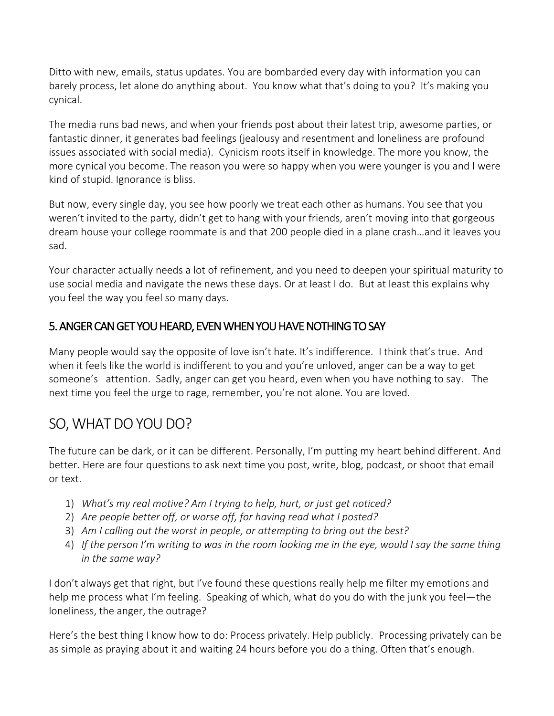Ditto with new, emails, status updates. You are bombarded every day with information you can barely process, let alone do anything about. You know what that's doing to you? It's making you cynical.

The media runs bad news, and when your friends post about their latest trip, awesome parties, or fantastic dinner, it generates bad feelings (jealousy and resentment and loneliness are profound issues associated with social media). Cynicism roots itself in knowledge. The more you know, the more cynical you become. The reason you were so happy when you were younger is you and I were kind of stupid. Ignorance is bliss.

But now, every single day, you see how poorly we treat each other as humans. You see that you weren't invited to the party, didn't get to hang with your friends, aren't moving into that gorgeous dream house your college roommate is and that 200 people died in a plane crash…and it leaves you sad.

Your character actually needs a lot of refinement, and you need to deepen your spiritual maturity to use social media and navigate the news these days. Or at least I do. But at least this explains why you feel the way you feel so many days.

### 5. ANGER CAN GET YOU HEARD, EVEN WHEN YOU HAVE NOTHING TO SAY

Many people would say the opposite of love isn't hate. It's indifference. I think that's true. And when it feels like the world is indifferent to you and you're unloved, anger can be a way to get someone's attention. Sadly, anger can get you heard, even when you have nothing to say. The next time you feel the urge to rage, remember, you're not alone. You are loved.

# SO, WHAT DO YOU DO?

The future can be dark, or it can be different. Personally, I'm putting my heart behind different. And better. Here are four questions to ask next time you post, write, blog, podcast, or shoot that email or text.

- 1) *What's my real motive? Am I trying to help, hurt, or just get noticed?*
- 2) *Are people better off, or worse off, for having read what I posted?*
- 3) *Am I calling out the worst in people, or attempting to bring out the best?*
- 4) *If the person I'm writing to was in the room looking me in the eye, would I say the same thing in the same way?*

I don't always get that right, but I've found these questions really help me filter my emotions and help me process what I'm feeling. Speaking of which, what do you do with the junk you feel—the loneliness, the anger, the outrage?

Here's the best thing I know how to do: Process privately. Help publicly. Processing privately can be as simple as praying about it and waiting 24 hours before you do a thing. Often that's enough.